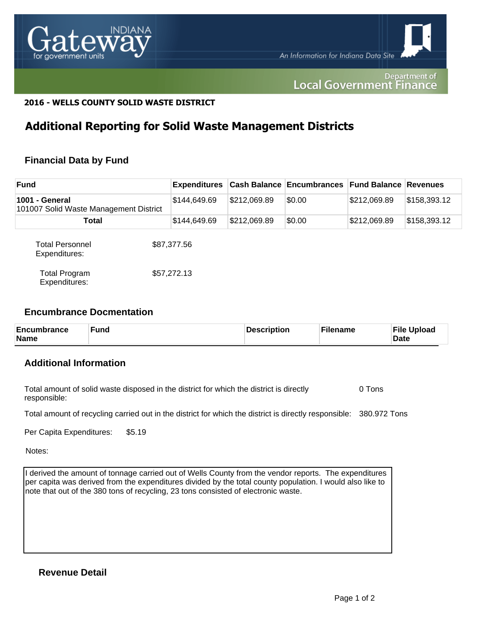

#### Department of **Local Government Finance**

## **2016 - WELLS COUNTY SOLID WASTE DISTRICT**

## **Additional Reporting for Solid Waste Management Districts**

## **Financial Data by Fund**

| <b>Fund</b>                                              |  | <b>Expenditures</b> |              | Cash Balance Encumbrances Fund Balance Revenues |              |              |
|----------------------------------------------------------|--|---------------------|--------------|-------------------------------------------------|--------------|--------------|
| 1001 - General<br>101007 Solid Waste Management District |  | \$144,649.69        | \$212,069.89 | \$0.00                                          | \$212,069.89 | \$158,393.12 |
| Total                                                    |  | \$144,649.69        | \$212,069.89 | \$0.00                                          | \$212,069.89 | \$158,393.12 |
| <b>Total Personnel</b><br>Expenditures:                  |  | \$87,377.56         |              |                                                 |              |              |
| <b>Total Program</b><br>Expenditures:                    |  | \$57,272.13         |              |                                                 |              |              |

#### **Encumbrance Docmentation**

| <b>Encumbrance</b><br><b>Name</b> | <b>Fund</b> | Description | ั <sup>с</sup> ilename | <b>File Upload</b><br><b>Date</b> |
|-----------------------------------|-------------|-------------|------------------------|-----------------------------------|
|-----------------------------------|-------------|-------------|------------------------|-----------------------------------|

## **Additional Information**

Total amount of solid waste disposed in the district for which the district is directly responsible: 0 Tons

Total amount of recycling carried out in the district for which the district is directly responsible: 380.972 Tons

Per Capita Expenditures: \$5.19

Notes:

I derived the amount of tonnage carried out of Wells County from the vendor reports. The expenditures per capita was derived from the expenditures divided by the total county population. I would also like to note that out of the 380 tons of recycling, 23 tons consisted of electronic waste.

## **Revenue Detail**